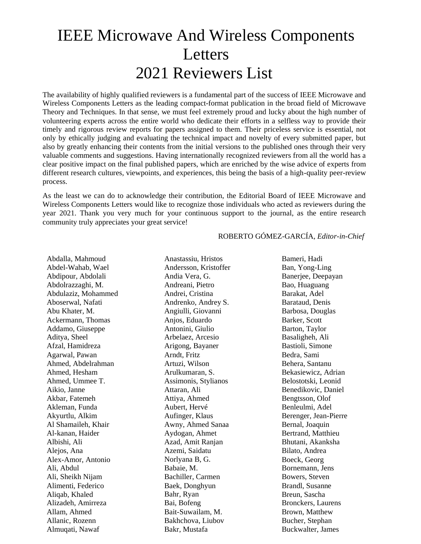## IEEE Microwave And Wireless Components Letters 2021 Reviewers List

The availability of highly qualified reviewers is a fundamental part of the success of IEEE Microwave and Wireless Components Letters as the leading compact-format publication in the broad field of Microwave Theory and Techniques. In that sense, we must feel extremely proud and lucky about the high number of volunteering experts across the entire world who dedicate their efforts in a selfless way to provide their timely and rigorous review reports for papers assigned to them. Their priceless service is essential, not only by ethically judging and evaluating the technical impact and novelty of every submitted paper, but also by greatly enhancing their contents from the initial versions to the published ones through their very valuable comments and suggestions. Having internationally recognized reviewers from all the world has a clear positive impact on the final published papers, which are enriched by the wise advice of experts from different research cultures, viewpoints, and experiences, this being the basis of a high-quality peer-review process.

As the least we can do to acknowledge their contribution, the Editorial Board of IEEE Microwave and Wireless Components Letters would like to recognize those individuals who acted as reviewers during the year 2021. Thank you very much for your continuous support to the journal, as the entire research community truly appreciates your great service!

## ROBERTO GÓMEZ-GARCÍA, *Editor-in-Chief*

Abdalla, Mahmoud Abdel-Wahab, Wael Abdipour, Abdolali Abdolrazzaghi, M. Abdulaziz, Mohammed Aboserwal, Nafati Abu Khater, M. Ackermann, Thomas Addamo, Giuseppe Aditya, Sheel Afzal, Hamidreza Agarwal, Pawan Ahmed, Abdelrahman Ahmed, Hesham Ahmed, Ummee T. Aikio, Janne Akbar, Fatemeh Akleman, Funda Akyurtlu, Alkim Al Shamaileh, Khair Al-kanan, Haider Albishi, Ali Alejos, Ana Alex-Amor, Antonio Ali, Abdul Ali, Sheikh Nijam Alimenti, Federico Aliqab, Khaled Alizadeh, Amirreza Allam, Ahmed Allanic, Rozenn Almuqati, Nawaf

Anastassiu, Hristos Andersson, Kristoffer Andia Vera, G. Andreani, Pietro Andrei, Cristina Andrenko, Andrey S. Angiulli, Giovanni Anjos, Eduardo Antonini, Giulio Arbelaez, Arcesio Arigong, Bayaner Arndt, Fritz Artuzi, Wilson Arulkumaran, S. Assimonis, Stylianos Attaran, Ali Attiya, Ahmed Aubert, Hervé Aufinger, Klaus Awny, Ahmed Sanaa Aydogan, Ahmet Azad, Amit Ranjan Azemi, Saidatu Norlyana B, G. Babaie, M. Bachiller, Carmen Baek, Donghyun Bahr, Ryan Bai, Bofeng Bait-Suwailam, M. Bakhchova, Liubov Bakr, Mustafa

Bameri, Hadi Ban, Yong-Ling Banerjee, Deepayan Bao, Huaguang Barakat, Adel Barataud, Denis Barbosa, Douglas Barker, Scott Barton, Taylor Basaligheh, Ali Bastioli, Simone Bedra, Sami Behera, Santanu Bekasiewicz, Adrian Belostotski, Leonid Benedikovic, Daniel Bengtsson, Olof Benleulmi, Adel Berenger, Jean-Pierre Bernal, Joaquin Bertrand, Matthieu Bhutani, Akanksha Bilato, Andrea Boeck, Georg Bornemann, Jens Bowers, Steven Brandl, Susanne Breun, Sascha Bronckers, Laurens Brown, Matthew Bucher, Stephan Buckwalter, James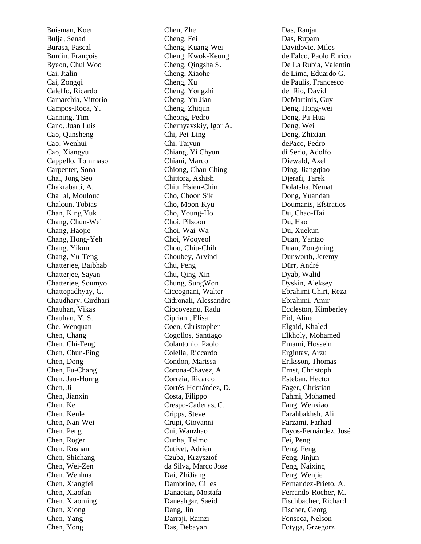Buisman, Koen Bulja, Senad Burasa, Pascal Burdin, François Byeon, Chul Woo Cai, Jialin Cai, Zongqi Caleffo, Ricardo Camarchia, Vittorio Campos -Roca, Y . Canning, Tim Cano, Juan Luis Cao, Qunsheng Cao, Wenhui Cao, Xiangyu Cappello, Tommaso Carpenter, Sona Chai, Jong Seo Chakrabarti, A . Challal, Mouloud Chaloun, Tobias Chan, King Yuk Chang, Chun -Wei Chang, Haojie Chang, Hong -Yeh Chang, Yikun Chang, Yu -Teng Chatterjee, Baibhab Chatterjee, Sayan Chatterjee, Soumyo Chattopadhyay, G . Chaudhary, Girdhari Chauhan, Vikas Chauhan, Y. S. Che, Wenquan Chen, Chang Chen, Chi -Feng Chen, Chun -Ping Chen, Dong Chen, Fu -Chang Chen, Jau -Horng Chen, Ji Chen, Jianxin Chen, Ke Chen, Kenle Chen, Nan -Wei Chen, Peng Chen, Roger Chen, Rushan Chen, Shichang Chen, Wei -Zen Chen, Wenhua Chen, Xiangfei Chen, Xiaofan Chen, Xiaoming Chen, Xiong Chen, Yang Chen, Yong

Chen, Zhe Cheng, Fei Cheng, Kuang -Wei Cheng, Kwok -Keung Cheng, Qingsha S. Cheng, Xiaohe Cheng, Xu Cheng, Yongzhi Cheng, Yu Jian Cheng, Zhiqun Cheong, Pedro Chernyavskiy, Igor A. Chi, Pei -Ling Chi, Taiyun Chiang, Yi Chyun Chiani, Marco Chiong, Chau -Ching Chittora, Ashish Chiu, Hsien -Chin Cho, Choon Sik Cho, Moon -Kyu Cho, Young -Ho Choi, Pilsoon Choi, Wai -Wa Choi, Wooyeol Chou, Chiu -Chih Choubey, Arvind Chu, Peng Chu, Qing -Xin Chung, SungWon Ciccognani, Walter Cidronali, Alessandro Ciocoveanu, Radu Cipriani, Elisa Coen, Christopher Cogollos, Santiago Colantonio, Paolo Colella, Riccardo Condon, Marissa Corona-Chavez, A. Correia, Ricardo Cortés -Hernández, D . Costa, Filippo Crespo-Cadenas, C. Cripps, Steve Crupi, Giovanni Cui, Wanzhao Cunha, Telmo Cutivet, Adrien Czuba, Krzysztof da Silva, Marco Jose Dai, ZhiJiang Dambrine, Gilles Danaeian, Mostafa Daneshgar, Saeid Dang, Jin Darraji, Ramzi Das, Debayan

Das, Ranjan Das, Rupam Davidovic, Milos de Falco, Paolo Enrico De La Rubia, Valentin de Lima, Eduardo G. de Paulis, Francesco del Rio, David DeMartinis, Guy Deng, Hong -wei Deng, Pu -Hua Deng, Wei Deng, Zhixian dePaco, Pedro di Serio, Adolfo Diewald, Axel Ding, Jiangqiao Djerafi, Tarek Dolatsha, Nemat Dong, Yuandan Doumanis, Efstratios Du, Chao-Hai Du, Hao Du, Xuekun Duan, Yantao Duan, Zongming Dunworth, Jeremy Dürr, André Dyab, Walid Dyskin, Aleksey Ebrahimi Ghiri, Reza Ebrahimi, Amir Eccleston, Kimberley Eid, Aline Elgaid, Khaled Elkholy, Mohamed Emami, Hossein Ergintav, Arzu Eriksson, Thomas Ernst, Christoph Esteban, Hector Fager, Christian Fahmi, Mohamed Fang, Wenxiao Farahbakhsh, Ali Farzami, Farhad Fayos -Fernández, José Fei, Peng Feng, Feng Feng, Jinjun Feng, Naixing Feng, Wenjie Fernandez-Prieto, A. Ferrando -Rocher, M. Fischbacher, Richard Fischer, Georg Fonseca, Nelson Fotyga, Grzegorz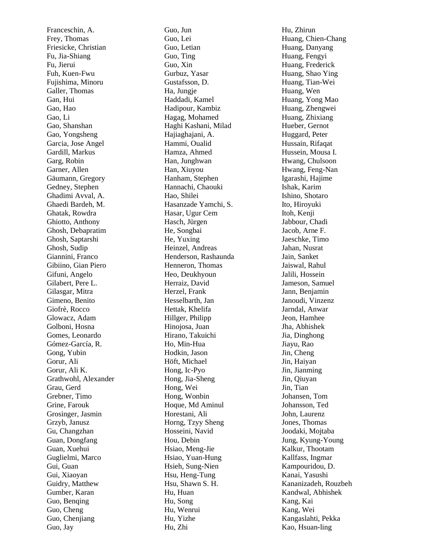Franceschin, A . Frey, Thomas Friesicke, Christian Fu, Jia -Shiang Fu, Jierui Fuh, Kuen -Fwu Fujishima, Minoru Galler, Thomas Gan, Hui Gao, Hao Gao, Li Gao, Shanshan Gao, Yongsheng Garcia, Jose Angel Gardill, Markus Garg, Robin Garner, Allen Gäumann, Gregory Gedney, Stephen Ghadimi Avval, A. Ghaedi Bardeh, M . Ghatak, Rowdra Ghiotto, Anthony Ghosh, Debapratim Ghosh, Saptarshi Ghosh, Sudip Giannini, Franco Gibiino, Gian Piero Gifuni, Angelo Gilabert, Pere L. Gilasgar, Mitra Gimeno, Benito Giofrè, Rocco Glowacz, Adam Golboni, Hosna Gomes, Leonardo Gómez-García, R. Gong, Yubin Gorur, Ali Gorur, Ali K. Grathwohl, Alexander Grau, Gerd Grebner, Timo Grine, Farouk Grosinger, Jasmin Grzyb, Janusz Gu, Changzhan Guan, Dongfang Guan, Xuehui Guglielmi, Marco Gui, Guan Gui, Xiaoyan Guidry, Matthew Gumber, Karan Guo, Benqing Guo, Cheng Guo, Chenjiang Guo, Jay

Guo, Jun Guo, Lei Guo, Letian Guo, Ting Guo, Xin Gurbuz, Yasar Gustafsson, D. Ha, Jungje Haddadi, Kamel Hadipour, Kambiz Hagag, Mohamed Haghi Kashani, Milad Hajiaghajani, A . Hammi, Oualid Hamza, Ahmed Han, Junghwan Han, Xiuyou Hanham, Stephen Hannachi, Chaouki Hao, Shilei Hasanzade Yamchi, S . Hasar, Ugur Cem Hasch, Jürgen He, Songbai He, Yuxing Heinzel, Andreas Henderson, Rashaunda Henneron, Thomas Heo, Deukhyoun Herraiz, David Herzel, Frank Hesselbarth, Jan Hettak, Khelifa Hillger, Philipp Hinojosa, Juan Hirano, Takuichi Ho, Min -Hua Hodkin, Jason Höft, Michael Hong, Ic -Pyo Hong, Jia -Sheng Hong, Wei Hong, Wonbin Hoque, Md Aminul Horestani, Ali Horng, Tzyy Sheng Hosseini, Navid Hou, Debin Hsiao, Meng -Jie Hsiao, Yuan -Hung Hsieh, Sung -Nien Hsu, Heng -Tung Hsu, Shawn S. H. Hu, Huan Hu, Song Hu, Wenrui Hu, Yizhe Hu, Zhi

Hu, Zhirun Huang, Chien -Chang Huang, Danyang Huang, Fengyi Huang, Frederick Huang, Shao Ying Huang, Tian -Wei Huang, Wen Huang, Yong Mao Huang, Zhengwei Huang, Zhixiang Hueber, Gernot Huggard, Peter Hussain, Rifaqat Hussein, Mousa I. Hwang, Chulsoon Hwang, Feng -Nan Igarashi, Hajime Ishak, Karim Ishino, Shotaro Ito, Hiroyuki Itoh, Kenji Jabbour, Chadi Jacob, Arne F. Jaeschke, Timo Jahan, Nusrat Jain, Sanket Jaiswal, Rahul Jalili, Hossein Jameson, Samuel Jann, Benjamin Janoudi, Vinzenz Jarndal, Anwar Jeon, Hamhee Jha, Abhishek Jia, Dinghong Jiayu, Rao Jin, Cheng Jin, Haiyan Jin, Jianming Jin, Qiuyan Jin, Tian Johansen, Tom Johansson, Ted John, Laurenz Jones, Thomas Joodaki, Mojtaba Jung, Kyung -Young Kalkur, Thootam Kallfass, Ingmar Kampouridou, D . Kanai, Yasushi Kananizadeh, Rouzbeh Kandwal, Abhishek Kang, Kai Kang, Wei Kangaslahti, Pekka Kao, Hsuan -ling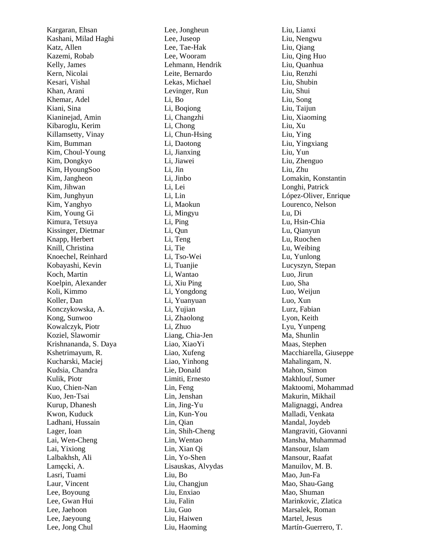Kargaran, Ehsan Kashani, Milad Haghi Katz, Allen Kazemi, Robab Kelly, James Kern, Nicolai Kesari, Vishal Khan, Arani Khemar, Adel Kiani, Sina Kianinejad, Amin Kibaroglu, Kerim Killamsetty, Vinay Kim, Bumman Kim, Choul -Young Kim, Dongkyo Kim, HyoungSoo Kim, Jangheon Kim, Jihwan Kim, Junghyun Kim, Yanghyo Kim, Young Gi Kimura, Tetsuya Kissinger, Dietmar Knapp, Herbert Knill, Christina Knoechel, Reinhard Kobayashi, Kevin Koch, Martin Koelpin, Alexander Koli, Kimmo Koller, Dan Konczykowska, A. Kong, Sunwoo Kowalczyk, Piotr Koziel, Slawomir Krishnananda, S . Daya Kshetrimayum, R . Kucharski, Maciej Kudsia, Chandra Kulik, Piotr Kuo, Chien -Nan Kuo, Jen -Tsai Kurup, Dhanesh Kwon, Kuduck Ladhani, Hussain Lager, Ioan Lai, Wen -Cheng Lai, Yixiong Lalbakhsh, Ali Lamęcki, A. Lasri, Tuami Laur, Vincent Lee, Boyoung Lee, Gwan Hui Lee, Jaehoon Lee, Jaeyoung Lee, Jong Chul

Lee, Jongheun Lee, Juseop Lee, Tae-Hak Lee, Wooram Lehmann, Hendrik Leite, Bernardo Lekas, Michael Levinger, Run Li, Bo Li, Boqiong Li, Changzhi Li, Chong Li, Chun-Hsing Li, Daotong Li, Jianxing Li, Jiawei Li, Jin Li, Jinbo Li, Lei Li, Lin Li, Maokun Li, Mingyu Li, Ping Li, Qun Li, Teng Li, Tie Li, Tso -Wei Li, Tuanjie Li, Wantao Li, Xiu Ping Li, Yongdong Li, Yuanyuan Li, Yujian Li, Zhaolong Li, Zhuo Liang, Chia -Jen Liao, XiaoYi Liao, Xufeng Liao, Yinhong Lie, Donald Limiti, Ernesto Lin, Feng Lin, Jenshan Lin, Jing -Yu Lin, Kun -You Lin, Qian Lin, Shih -Cheng Lin, Wentao Lin, Xian Qi Lin, Yo -Shen Lisauskas, Alvydas Liu, Bo Liu, Changjun Liu, Enxiao Liu, Falin Liu, Guo Liu, Haiwen Liu, Haoming

Liu, Lianxi Liu, Nengwu Liu, Qiang Liu, Qing Huo Liu, Quanhua Liu, Renzhi Liu, Shubin Liu, Shui Liu, Song Liu, Taijun Liu, Xiaoming Liu, Xu Liu, Ying Liu, Yingxiang Liu, Yun Liu, Zhenguo Liu, Zhu Lomakin, Konstantin Longhi, Patrick López -Oliver, Enrique Lourenco, Nelson Lu, Di Lu, Hsin -Chia Lu, Qianyun Lu, Ruochen Lu, Weibing Lu, Yunlong Lucyszyn, Stepan Luo, Jirun Luo, Sha Luo, Weijun Luo, Xun Lurz, Fabian Lyon, Keith Lyu, Yunpeng Ma, Shunlin Maas, Stephen Macchiarella, Giuseppe Mahalingam, N . Mahon, Simon Makhlouf, Sumer Maktoomi, Mohammad Makurin, Mikhail Malignaggi, Andrea Malladi, Venkata Mandal, Joydeb Mangraviti, Giovanni Mansha, Muhammad Mansour, Islam Mansour, Raafat Manuilov, M. B. Mao, Jun -Fa Mao, Shau -Gang Mao, Shuman Marinkovic, Zlatica Marsalek, Roman Martel, Jesus Martín-Guerrero, T.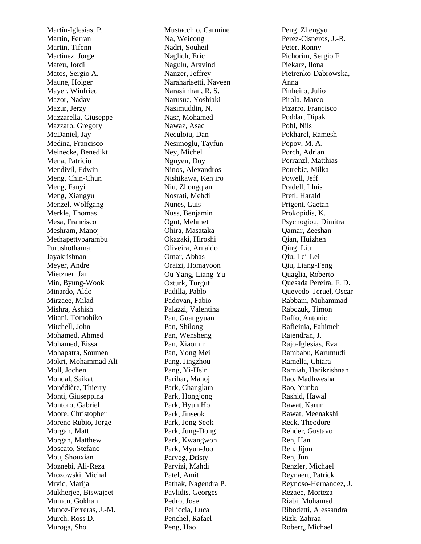Martín-Iglesias, P. Martin, Ferran Martin, Tifenn Martinez, Jorge Mateu, Jordi Matos, Sergio A. Maune, Holger Mayer, Winfried Mazor, Nadav Mazur, Jerzy Mazzarella, Giuseppe Mazzaro, Gregory McDaniel, Jay Medina, Francisco Meinecke, Benedikt Mena, Patricio Mendivil, Edwin Meng, Chin -Chun Meng, Fanyi Meng, Xiangyu Menzel, Wolfgang Merkle, Thomas Mesa, Francisco Meshram, Manoj Methapettyparambu Purushothama, Jayakrishnan Meyer, Andre Mietzner, Jan Min, Byung -Wook Minardo, Aldo Mirzaee, Milad Mishra, Ashish Mitani, Tomohiko Mitchell, John Mohamed, Ahmed Mohamed, Eissa Mohapatra, Soumen Mokri, Mohammad Ali Moll, Jochen Mondal, Saikat Monédière, Thierry Monti, Giuseppina Montoro, Gabriel Moore, Christop her Moreno Rubio, Jorge Morgan, Matt Morgan, Matthew Moscato, Stefano Mou, Shouxian Moznebi, Ali -Reza Mrozowski, Michal Mrvic, Marija Mukherjee, Biswajeet Mumcu, Gokhan Munoz-Ferreras, J.-M. Murch, Ross D. Muroga, Sho

Mustacchio, Carmine Na, Weicong Nadri, Souheil Naglich, Eric Nagulu, Aravind Nanzer, Jeffrey Naraharisetti, Naveen Narasimhan, R. S. Narusue, Yoshiaki Nasimuddin, N . Nasr, Mohamed Nawaz, Asad Neculoiu, Dan Nesimoglu, Tayfun Ney, Michel Nguyen, Duy Ninos, Alexandros Nishikawa, Kenjiro Niu, Zhongqian Nosrati, Mehdi Nunes, Luis Nuss, Benjamin Ogut, Mehmet Ohira, Masataka Okazaki, Hiroshi Oliveira, Arnaldo Omar, Abbas Oraizi, Homayoon Ou Yang, Liang -Yu Ozturk, Turgut Padilla, Pablo Padovan, Fabio Palazzi, Valentina Pan, Guangyuan Pan, Shilong Pan, Wensheng Pan, Xiaomin Pan, Yong Mei Pang, Jingzhou Pang, Yi-Hsin Parihar, Manoj Park, Changkun Park, Hongjong Park, Hyun Ho Park, Jinseok Park, Jong Seok Park, Jung -Dong Park, Kwangwon Park, Myun -Joo Parveg, Dristy Parvizi, Mahdi Patel, Amit Pathak, Nagendra P . Pavlidis, Georges Pedro, Jose Pelliccia, Luca Penchel, Rafael Peng, Hao

Peng, Zhengyu Perez-Cisneros, J.-R. Peter, Ronny Pichorim, Sergio F. Piekarz, Ilona Pietrenko -Dabrowska, Anna Pinheiro, Julio Pirola, Marco Pizarro, Francisco Poddar, Dipak Pohl, Nils Pokharel, Ramesh Popov, M. A. Porch, Adrian Porranzl, Matthias Potrebic, Milka Powell, Jeff Pradell, Lluis Pretl, Harald Prigent, Gaetan Prokopidis, K . Psychogiou, Dimitra Qamar, Zeeshan Qian, Huizhen Qing, Liu Qiu, Lei -Lei Qiu, Liang -Feng Quaglia, Roberto Quesada Pereira, F. D. Quevedo -Teruel, Oscar Rabbani, Muhammad Rabczuk, Timon Raffo, Antonio Rafieinia, Fahimeh Rajendran, J . Rajo -Iglesias, Eva Rambabu, Karumudi Ramella, Chiara Ramiah, Harikrishnan Rao, Madhwesha Rao, Yunbo Rashid, Hawal Rawat, Karun Rawat, Meenakshi Reck, Theodore Rehder, Gustavo Ren, Han Ren, Jijun Ren, Jun Renzler, Michael Reynaert, Patrick Reynoso -Hernandez, J. Rezaee, Morteza Riabi, Mohamed Ribodetti, Alessandra Rizk, Zahraa Roberg, Michael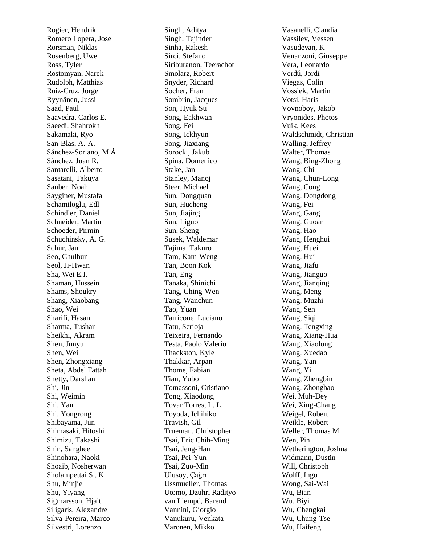Rogier, Hendrik Romero Lopera, Jose Rorsman, Niklas Rosenberg, Uwe Ross, Tyler Rostomyan, Narek Rudolph, Matthias Ruiz -Cruz, Jorge Ryynänen, Jussi Saad, Paul Saavedra, Carlos E. Saeedi, Shahrokh Sakamaki, Ryo San-Blas, A.-A. Sánchez -Soriano, M Á Sánchez, Juan R. Santarelli, Alberto Sasatani, Takuya Sauber, Noah Sayginer, Mustafa Schamiloglu, Edl Schindler, Daniel Schneider, Martin Schoeder, Pirmin Schuchinsky, A. G. Schür, Jan Seo, Chulhun Seol, Ji -Hwan Sha, Wei E.I. Shaman, Hussein Shams, Shoukry Shang, Xiaobang Shao, Wei Sharifi, Hasan Sharma, Tushar Sheikhi, Akram Shen, Junyu Shen, Wei Shen, Zhongxiang Sheta, Abdel Fattah Shetty, Darshan Shi, Jin Shi, Weimin Shi, Yan Shi, Yongrong Shibayama, Jun Shimasaki, Hitoshi Shimizu, Takashi Shin, Sanghee Shinohara, Naoki Shoaib, Nosherwan Sholampettai S., K. Shu, Minjie Shu, Yiyang Sigmarsson, Hjalti Siligaris, Alexandre Silva -Pereira, Marco Silvestri, Lorenzo

Singh, Aditya Singh, Tejinder Sinha, Rakesh Sirci, Stefano Siriburanon, Teerachot Smolarz, Robert Snyder, Richard Socher, Eran Sombrin, Jacques Son, Hyuk Su Song, Eakhwan Song, Fei Song, Ickhyun Song, Jiaxiang Sorocki, Jakub Spina, Domenico Stake, Jan Stanley, Manoj Steer, Michael Sun, Dongquan Sun, Hucheng Sun, Jiajing Sun, Liguo Sun, Sheng Susek, Waldemar Tajima, Takuro Tam, Kam -Weng Tan, Boon Kok Tan, Eng Tanaka, Shinichi Tang, Ching -Wen Tang, Wanchun Tao, Yuan Tarricone, Luciano Tatu, Serioja Teixeira, Fernando Testa, Paolo Valerio Thackston, Kyle Thakkar, Arpan Thome, Fabian Tian, Yubo Tomassoni, Cristiano Tong, Xiaodong Tovar Torres, L. L. Toyoda, Ichihiko Travish, Gil Trueman, Christopher Tsai, Eric Chih -Ming Tsai, Jeng -Han Tsai, Pei -Yun Tsai, Zuo -Min Ulusoy, Çağrı Ussmueller, Thomas Utomo, Dzuhri Radityo van Liempd, Barend Vannini, Giorgio Vanukuru, Venkata Varonen, Mikko

Vasanelli, Claudia Vassilev, Vessen Vasudevan, K Venanzoni, Giuseppe Vera, Leonardo Verdú, Jordi Viegas, Colin Vossiek, Martin Votsi, Haris Vovnoboy, Jakob Vryonides, Photos Vuik, Kees Waldschmidt, Christian Walling, Jeffrey Walter, Thomas Wang, Bing -Zhong Wang, Chi Wang, Chun -Long Wang, Cong Wang, Dongdong Wang, Fei Wang, Gang Wang, Guoan Wang, Hao Wang, Henghui Wang, Huei Wang, Hui Wang, Jiafu Wang, Jianguo Wang, Jianqing Wang, Meng Wang, Muzhi Wang, Sen Wang, Siqi Wang, Tengxing Wang, Xiang -Hua Wang, Xiaolong Wang, Xuedao Wang, Yan Wang, Yi Wang, Zhengbin Wang, Zhongbao Wei, Muh -Dey Wei, Xing -Chang Weigel, Robert Weikle, Robert Weller, Thomas M. Wen, Pin Wetherington, Joshua Widmann, Dustin Will, Christoph Wolff, Ingo Wong, Sai -Wai Wu, Bian Wu, Biyi Wu, Chengkai Wu, Chung-Tse Wu, Haifeng